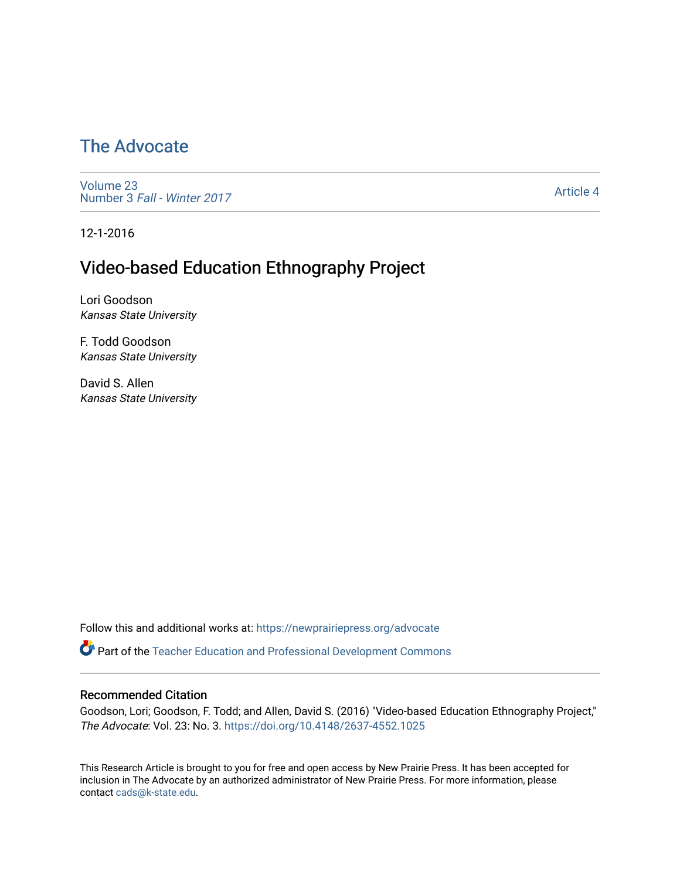# [The Advocate](https://newprairiepress.org/advocate)

[Volume 23](https://newprairiepress.org/advocate/vol23) Number 3 [Fall - Winter 2017](https://newprairiepress.org/advocate/vol23/iss3) 

[Article 4](https://newprairiepress.org/advocate/vol23/iss3/4) 

12-1-2016

## Video-based Education Ethnography Project

Lori Goodson Kansas State University

F. Todd Goodson Kansas State University

David S. Allen Kansas State University

Follow this and additional works at: [https://newprairiepress.org/advocate](https://newprairiepress.org/advocate?utm_source=newprairiepress.org%2Fadvocate%2Fvol23%2Fiss3%2F4&utm_medium=PDF&utm_campaign=PDFCoverPages) 

Part of the [Teacher Education and Professional Development Commons](http://network.bepress.com/hgg/discipline/803?utm_source=newprairiepress.org%2Fadvocate%2Fvol23%2Fiss3%2F4&utm_medium=PDF&utm_campaign=PDFCoverPages) 

#### Recommended Citation

Goodson, Lori; Goodson, F. Todd; and Allen, David S. (2016) "Video-based Education Ethnography Project," The Advocate: Vol. 23: No. 3.<https://doi.org/10.4148/2637-4552.1025>

This Research Article is brought to you for free and open access by New Prairie Press. It has been accepted for inclusion in The Advocate by an authorized administrator of New Prairie Press. For more information, please contact [cads@k-state.edu](mailto:cads@k-state.edu).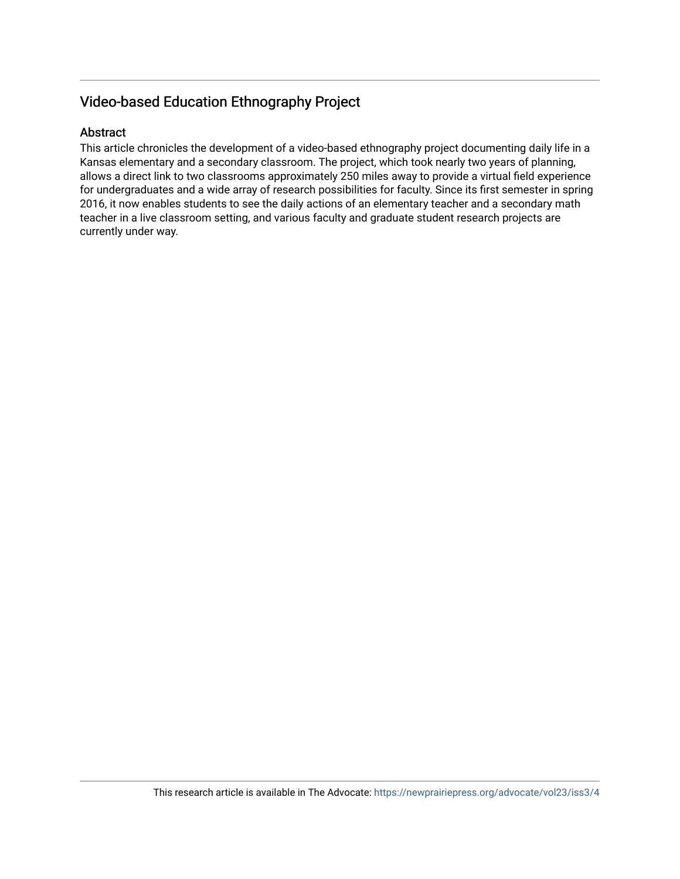## Video-based Education Ethnography Project

#### Abstract

This article chronicles the development of a video-based ethnography project documenting daily life in a Kansas elementary and a secondary classroom. The project, which took nearly two years of planning, allows a direct link to two classrooms approximately 250 miles away to provide a virtual field experience for undergraduates and a wide array of research possibilities for faculty. Since its first semester in spring 2016, it now enables students to see the daily actions of an elementary teacher and a secondary math teacher in a live classroom setting, and various faculty and graduate student research projects are currently under way.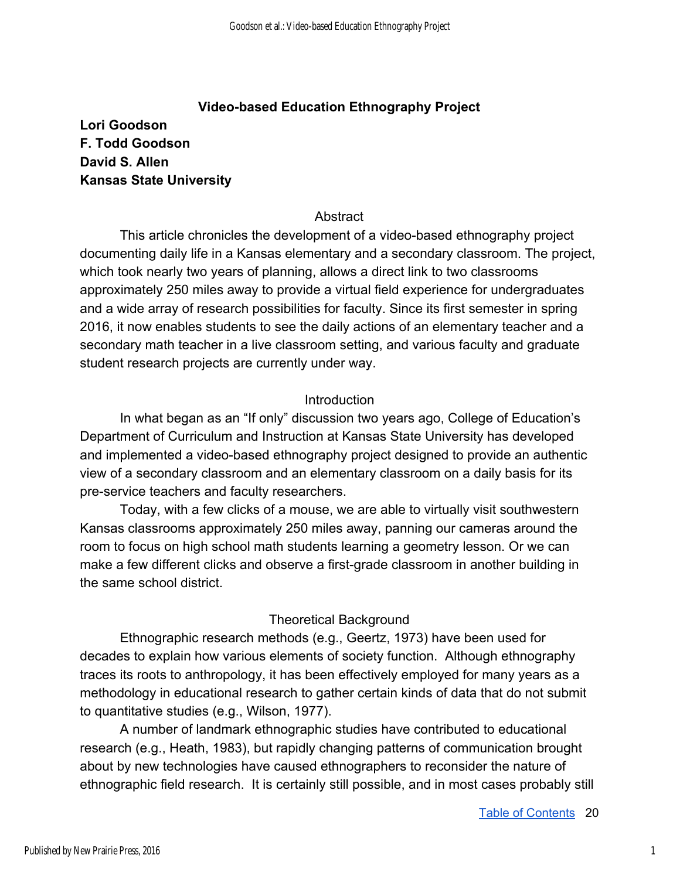#### **Video-based Education Ethnography Project**

**Lori Goodson F. Todd Goodson David S. Allen Kansas State University** 

#### **Abstract**

This article chronicles the development of a video-based ethnography project documenting daily life in a Kansas elementary and a secondary classroom. The project, which took nearly two years of planning, allows a direct link to two classrooms approximately 250 miles away to provide a virtual field experience for undergraduates and a wide array of research possibilities for faculty. Since its first semester in spring 2016, it now enables students to see the daily actions of an elementary teacher and a secondary math teacher in a live classroom setting, and various faculty and graduate student research projects are currently under way.

#### **Introduction**

In what began as an "If only" discussion two years ago, College of Education's Department of Curriculum and Instruction at Kansas State University has developed and implemented a video-based ethnography project designed to provide an authentic view of a secondary classroom and an elementary classroom on a daily basis for its pre-service teachers and faculty researchers.

Today, with a few clicks of a mouse, we are able to virtually visit southwestern Kansas classrooms approximately 250 miles away, panning our cameras around the room to focus on high school math students learning a geometry lesson. Or we can make a few different clicks and observe a first-grade classroom in another building in the same school district.

## Theoretical Background

Ethnographic research methods (e.g., Geertz, 1973) have been used for decades to explain how various elements of society function. Although ethnography traces its roots to anthropology, it has been effectively employed for many years as a methodology in educational research to gather certain kinds of data that do not submit to quantitative studies (e.g., Wilson, 1977).

A number of landmark ethnographic studies have contributed to educational research (e.g., Heath, 1983), but rapidly changing patterns of communication brought about by new technologies have caused ethnographers to reconsider the nature of ethnographic field research. It is certainly still possible, and in most cases probably still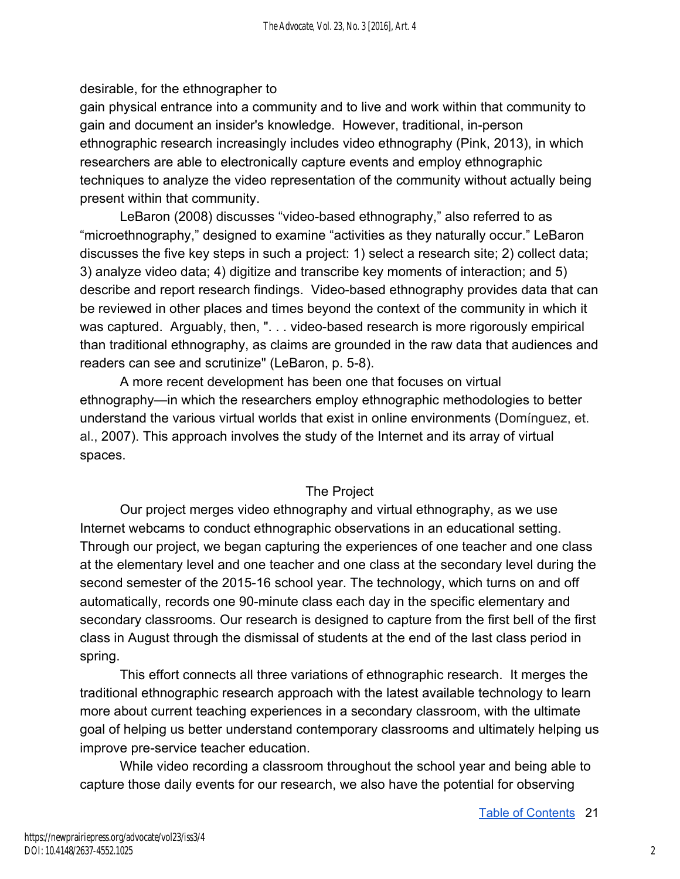## desirable, for the ethnographer to

gain physical entrance into a community and to live and work within that community to gain and document an insider's knowledge. However, traditional, in-person ethnographic research increasingly includes video ethnography (Pink, 2013), in which researchers are able to electronically capture events and employ ethnographic techniques to analyze the video representation of the community without actually being present within that community.

LeBaron (2008) discusses "video-based ethnography," also referred to as "microethnography," designed to examine "activities as they naturally occur." LeBaron discusses the five key steps in such a project: 1) select a research site; 2) collect data; 3) analyze video data; 4) digitize and transcribe key moments of interaction; and 5) describe and report research findings. Video-based ethnography provides data that can be reviewed in other places and times beyond the context of the community in which it was captured. Arguably, then, ". . . video-based research is more rigorously empirical than traditional ethnography, as claims are grounded in the raw data that audiences and readers can see and scrutinize" (LeBaron, p. 5-8).

A more recent development has been one that focuses on virtual ethnography—in which the researchers employ ethnographic methodologies to better understand the various virtual worlds that exist in online environments (Domínguez, et. al., 2007). This approach involves the study of the Internet and its array of virtual spaces.

## The Project

Our project merges video ethnography and virtual ethnography, as we use Internet webcams to conduct ethnographic observations in an educational setting. Through our project, we began capturing the experiences of one teacher and one class at the elementary level and one teacher and one class at the secondary level during the second semester of the 2015-16 school year. The technology, which turns on and off automatically, records one 90-minute class each day in the specific elementary and secondary classrooms. Our research is designed to capture from the first bell of the first class in August through the dismissal of students at the end of the last class period in spring.

This effort connects all three variations of ethnographic research. It merges the traditional ethnographic research approach with the latest available technology to learn more about current teaching experiences in a secondary classroom, with the ultimate goal of helping us better understand contemporary classrooms and ultimately helping us improve pre-service teacher education.

While video recording a classroom throughout the school year and being able to capture those daily events for our research, we also have the potential for observing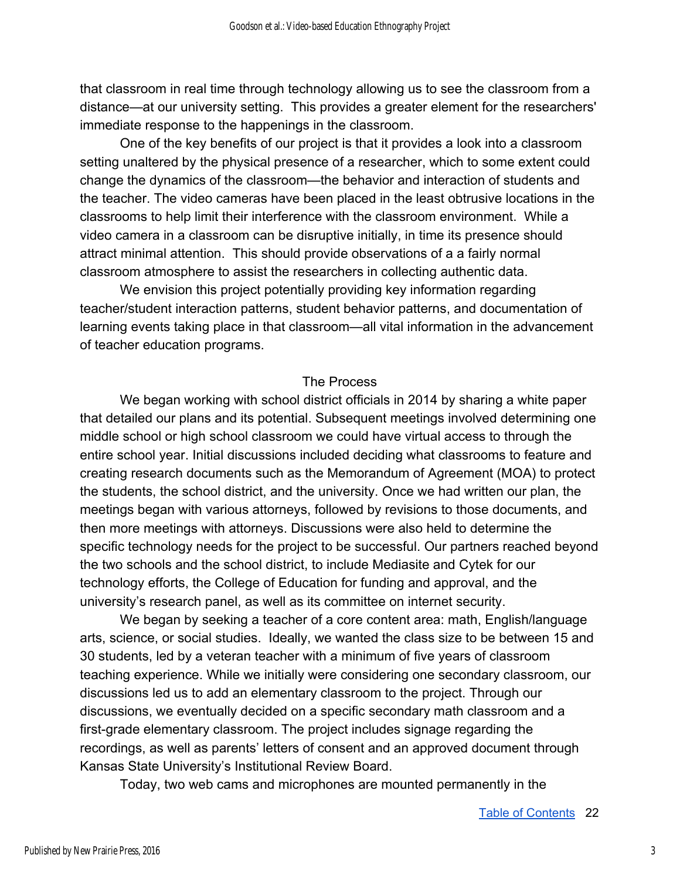that classroom in real time through technology allowing us to see the classroom from a distance—at our university setting. This provides a greater element for the researchers' immediate response to the happenings in the classroom.

One of the key benefits of our project is that it provides a look into a classroom setting unaltered by the physical presence of a researcher, which to some extent could change the dynamics of the classroom—the behavior and interaction of students and the teacher. The video cameras have been placed in the least obtrusive locations in the classrooms to help limit their interference with the classroom environment. While a video camera in a classroom can be disruptive initially, in time its presence should attract minimal attention. This should provide observations of a a fairly normal classroom atmosphere to assist the researchers in collecting authentic data.

We envision this project potentially providing key information regarding teacher/student interaction patterns, student behavior patterns, and documentation of learning events taking place in that classroom—all vital information in the advancement of teacher education programs.

#### The Process

We began working with school district officials in 2014 by sharing a white paper that detailed our plans and its potential. Subsequent meetings involved determining one middle school or high school classroom we could have virtual access to through the entire school year. Initial discussions included deciding what classrooms to feature and creating research documents such as the Memorandum of Agreement (MOA) to protect the students, the school district, and the university. Once we had written our plan, the meetings began with various attorneys, followed by revisions to those documents, and then more meetings with attorneys. Discussions were also held to determine the specific technology needs for the project to be successful. Our partners reached beyond the two schools and the school district, to include Mediasite and Cytek for our technology efforts, the College of Education for funding and approval, and the university's research panel, as well as its committee on internet security.

We began by seeking a teacher of a core content area: math, English/language arts, science, or social studies. Ideally, we wanted the class size to be between 15 and 30 students, led by a veteran teacher with a minimum of five years of classroom teaching experience. While we initially were considering one secondary classroom, our discussions led us to add an elementary classroom to the project. Through our discussions, we eventually decided on a specific secondary math classroom and a first-grade elementary classroom. The project includes signage regarding the recordings, as well as parents' letters of consent and an approved document through Kansas State University's Institutional Review Board.

Today, two web cams and microphones are mounted permanently in the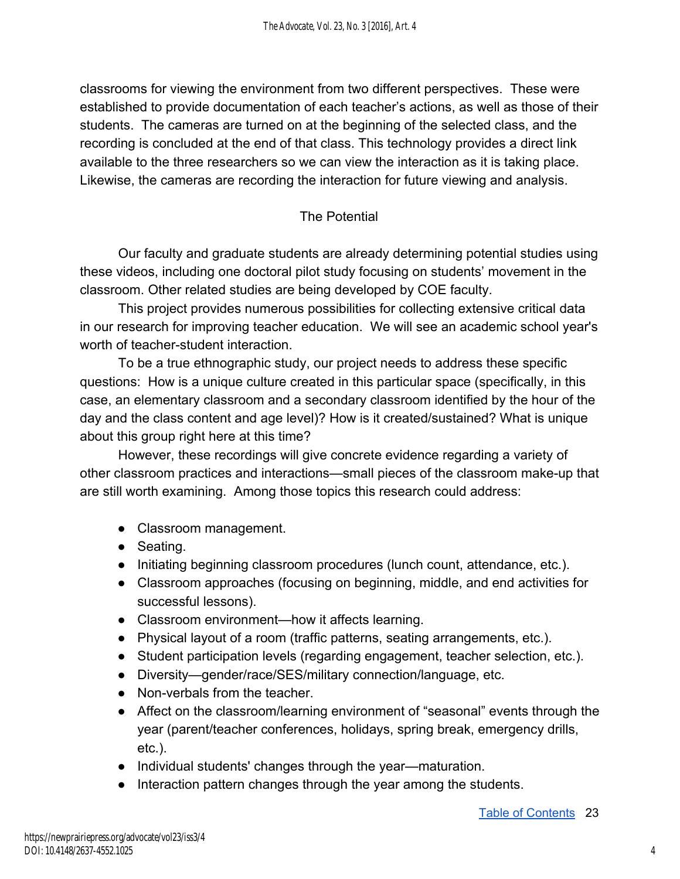classrooms for viewing the environment from two different perspectives. These were established to provide documentation of each teacher's actions, as well as those of their students. The cameras are turned on at the beginning of the selected class, and the recording is concluded at the end of that class. This technology provides a direct link available to the three researchers so we can view the interaction as it is taking place. Likewise, the cameras are recording the interaction for future viewing and analysis.

## The Potential

Our faculty and graduate students are already determining potential studies using these videos, including one doctoral pilot study focusing on students' movement in the classroom. Other related studies are being developed by COE faculty.

This project provides numerous possibilities for collecting extensive critical data in our research for improving teacher education. We will see an academic school year's worth of teacher-student interaction.

To be a true ethnographic study, our project needs to address these specific questions: How is a unique culture created in this particular space (specifically, in this case, an elementary classroom and a secondary classroom identified by the hour of the day and the class content and age level)? How is it created/sustained? What is unique about this group right here at this time?

However, these recordings will give concrete evidence regarding a variety of other classroom practices and interactions—small pieces of the classroom make-up that are still worth examining. Among those topics this research could address:

- Classroom management.
- Seating.
- Initiating beginning classroom procedures (lunch count, attendance, etc.).
- Classroom approaches (focusing on beginning, middle, and end activities for successful lessons).
- Classroom environment—how it affects learning.
- Physical layout of a room (traffic patterns, seating arrangements, etc.).
- Student participation levels (regarding engagement, teacher selection, etc.).
- Diversity—gender/race/SES/military connection/language, etc.
- Non-verbals from the teacher.
- Affect on the classroom/learning environment of "seasonal" events through the year (parent/teacher conferences, holidays, spring break, emergency drills, etc.).
- Individual students' changes through the year—maturation.
- Interaction pattern changes through the year among the students.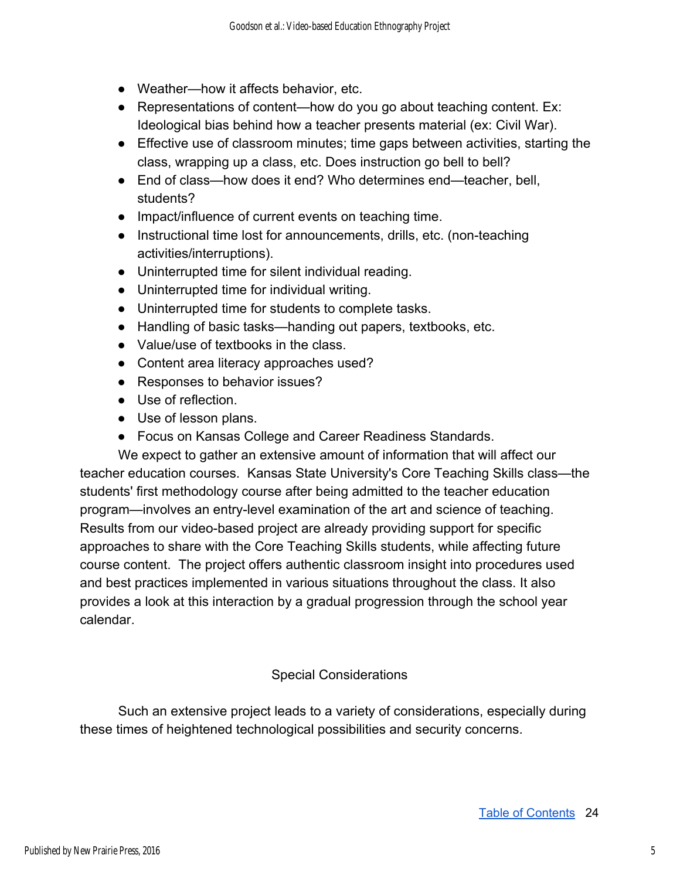- Weather—how it affects behavior, etc.
- Representations of content—how do you go about teaching content. Ex: Ideological bias behind how a teacher presents material (ex: Civil War).
- Effective use of classroom minutes; time gaps between activities, starting the class, wrapping up a class, etc. Does instruction go bell to bell?
- End of class—how does it end? Who determines end—teacher, bell, students?
- Impact/influence of current events on teaching time.
- Instructional time lost for announcements, drills, etc. (non-teaching activities/interruptions).
- Uninterrupted time for silent individual reading.
- Uninterrupted time for individual writing.
- Uninterrupted time for students to complete tasks.
- Handling of basic tasks—handing out papers, textbooks, etc.
- Value/use of textbooks in the class.
- Content area literacy approaches used?
- Responses to behavior issues?
- Use of reflection.
- Use of lesson plans.
- Focus on Kansas College and Career Readiness Standards.

We expect to gather an extensive amount of information that will affect our teacher education courses. Kansas State University's Core Teaching Skills class—the students' first methodology course after being admitted to the teacher education program—involves an entry-level examination of the art and science of teaching. Results from our video-based project are already providing support for specific approaches to share with the Core Teaching Skills students, while affecting future course content. The project offers authentic classroom insight into procedures used and best practices implemented in various situations throughout the class. It also provides a look at this interaction by a gradual progression through the school year calendar.

## Special Considerations

Such an extensive project leads to a variety of considerations, especially during these times of heightened technological possibilities and security concerns.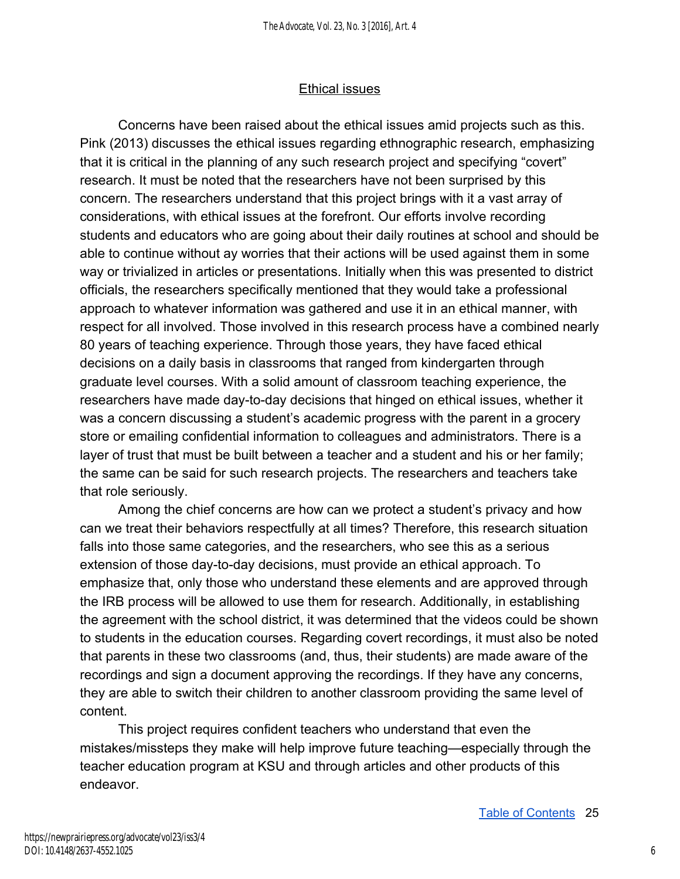#### Ethical issues

Concerns have been raised about the ethical issues amid projects such as this. Pink (2013) discusses the ethical issues regarding ethnographic research, emphasizing that it is critical in the planning of any such research project and specifying "covert" research. It must be noted that the researchers have not been surprised by this concern. The researchers understand that this project brings with it a vast array of considerations, with ethical issues at the forefront. Our efforts involve recording students and educators who are going about their daily routines at school and should be able to continue without ay worries that their actions will be used against them in some way or trivialized in articles or presentations. Initially when this was presented to district officials, the researchers specifically mentioned that they would take a professional approach to whatever information was gathered and use it in an ethical manner, with respect for all involved. Those involved in this research process have a combined nearly 80 years of teaching experience. Through those years, they have faced ethical decisions on a daily basis in classrooms that ranged from kindergarten through graduate level courses. With a solid amount of classroom teaching experience, the researchers have made day-to-day decisions that hinged on ethical issues, whether it was a concern discussing a student's academic progress with the parent in a grocery store or emailing confidential information to colleagues and administrators. There is a layer of trust that must be built between a teacher and a student and his or her family; the same can be said for such research projects. The researchers and teachers take that role seriously.

Among the chief concerns are how can we protect a student's privacy and how can we treat their behaviors respectfully at all times? Therefore, this research situation falls into those same categories, and the researchers, who see this as a serious extension of those day-to-day decisions, must provide an ethical approach. To emphasize that, only those who understand these elements and are approved through the IRB process will be allowed to use them for research. Additionally, in establishing the agreement with the school district, it was determined that the videos could be shown to students in the education courses. Regarding covert recordings, it must also be noted that parents in these two classrooms (and, thus, their students) are made aware of the recordings and sign a document approving the recordings. If they have any concerns, they are able to switch their children to another classroom providing the same level of content.

This project requires confident teachers who understand that even the mistakes/missteps they make will help improve future teaching—especially through the teacher education program at KSU and through articles and other products of this endeavor.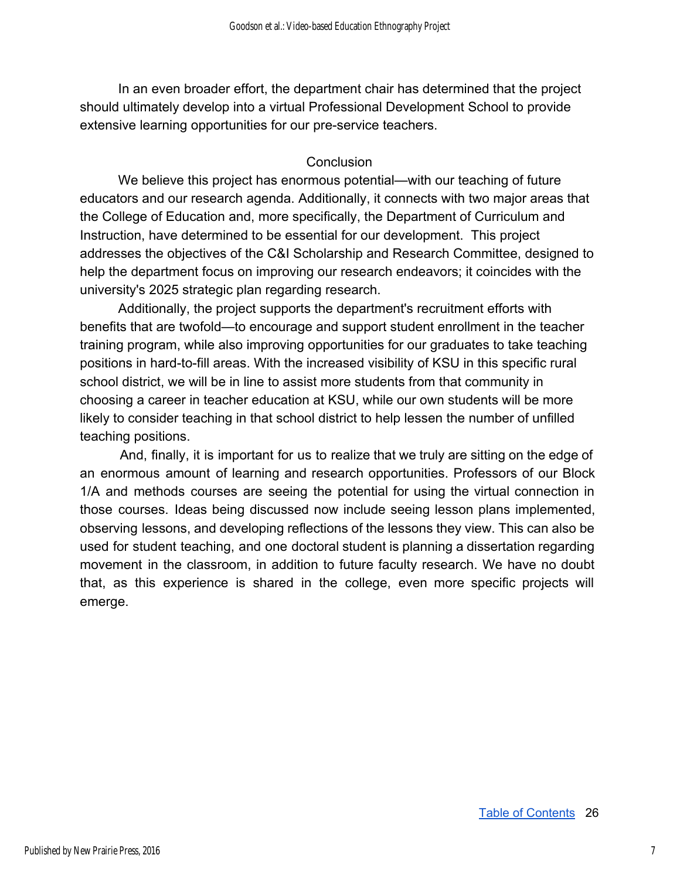In an even broader effort, the department chair has determined that the project should ultimately develop into a virtual Professional Development School to provide extensive learning opportunities for our pre-service teachers.

#### **Conclusion**

We believe this project has enormous potential—with our teaching of future educators and our research agenda. Additionally, it connects with two major areas that the College of Education and, more specifically, the Department of Curriculum and Instruction, have determined to be essential for our development. This project addresses the objectives of the C&I Scholarship and Research Committee, designed to help the department focus on improving our research endeavors; it coincides with the university's 2025 strategic plan regarding research.

Additionally, the project supports the department's recruitment efforts with benefits that are twofold—to encourage and support student enrollment in the teacher training program, while also improving opportunities for our graduates to take teaching positions in hard-to-fill areas. With the increased visibility of KSU in this specific rural school district, we will be in line to assist more students from that community in choosing a career in teacher education at KSU, while our own students will be more likely to consider teaching in that school district to help lessen the number of unfilled teaching positions.

And, finally, it is important for us to realize that we truly are sitting on the edge of an enormous amount of learning and research opportunities. Professors of our Block 1/A and methods courses are seeing the potential for using the virtual connection in those courses. Ideas being discussed now include seeing lesson plans implemented, observing lessons, and developing reflections of the lessons they view. This can also be used for student teaching, and one doctoral student is planning a dissertation regarding movement in the classroom, in addition to future faculty research. We have no doubt that, as this experience is shared in the college, even more specific projects will emerge.